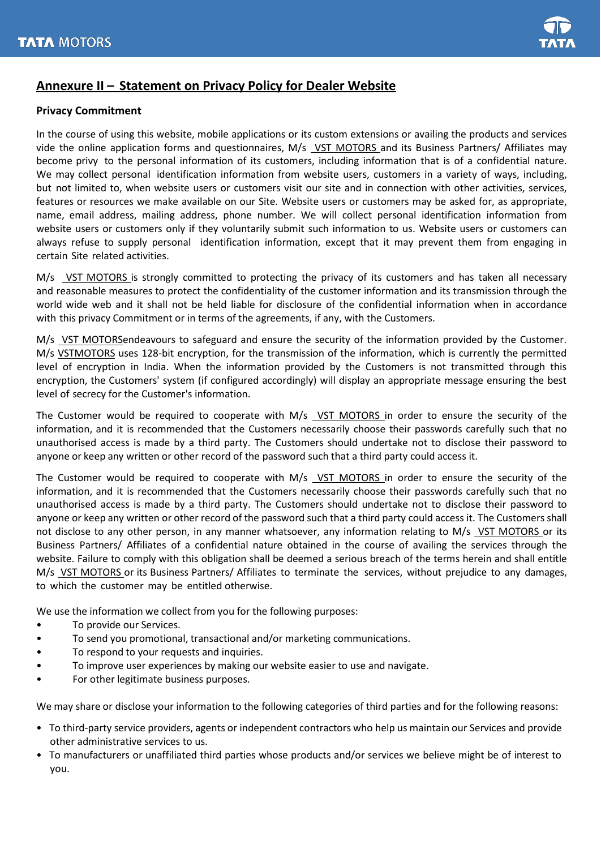## **Annexure II – Statement on Privacy Policy for Dealer Website**

## **Privacy Commitment**

In the course of using this website, mobile applications or its custom extensions or availing the products and services vide the online application forms and questionnaires, M/s VST MOTORS and its Business Partners/ Affiliates may become privy to the personal information of its customers, including information that is of a confidential nature. We may collect personal identification information from website users, customers in a variety of ways, including, but not limited to, when website users or customers visit our site and in connection with other activities, services, features or resources we make available on our Site. Website users or customers may be asked for, as appropriate, name, email address, mailing address, phone number. We will collect personal identification information from website users or customers only if they voluntarily submit such information to us. Website users or customers can always refuse to supply personal identification information, except that it may prevent them from engaging in certain Site related activities.

M/s VST MOTORS is strongly committed to protecting the privacy of its customers and has taken all necessary and reasonable measures to protect the confidentiality of the customer information and its transmission through the world wide web and it shall not be held liable for disclosure of the confidential information when in accordance with this privacy Commitment or in terms of the agreements, if any, with the Customers.

M/s VST MOTORSendeavours to safeguard and ensure the security of the information provided by the Customer. M/s VSTMOTORS uses 128-bit encryption, for the transmission of the information, which is currently the permitted level of encryption in India. When the information provided by the Customers is not transmitted through this encryption, the Customers' system (if configured accordingly) will display an appropriate message ensuring the best level of secrecy for the Customer's information.

The Customer would be required to cooperate with M/s VST MOTORS in order to ensure the security of the information, and it is recommended that the Customers necessarily choose their passwords carefully such that no unauthorised access is made by a third party. The Customers should undertake not to disclose their password to anyone or keep any written or other record of the password such that a third party could access it.

The Customer would be required to cooperate with M/s VST MOTORS in order to ensure the security of the information, and it is recommended that the Customers necessarily choose their passwords carefully such that no unauthorised access is made by a third party. The Customers should undertake not to disclose their password to anyone or keep any written or other record of the password such that a third party could access it. The Customers shall not disclose to any other person, in any manner whatsoever, any information relating to M/s VST MOTORS or its Business Partners/ Affiliates of a confidential nature obtained in the course of availing the services through the website. Failure to comply with this obligation shall be deemed a serious breach of the terms herein and shall entitle M/s VST MOTORS or its Business Partners/ Affiliates to terminate the services, without prejudice to any damages, to which the customer may be entitled otherwise.

We use the information we collect from you for the following purposes:

- To provide our Services.
- To send you promotional, transactional and/or marketing communications.
- To respond to your requests and inquiries.
- To improve user experiences by making our website easier to use and navigate.
- For other legitimate business purposes.

We may share or disclose your information to the following categories of third parties and for the following reasons:

- To third-party service providers, agents or independent contractors who help us maintain our Services and provide other administrative services to us.
- To manufacturers or unaffiliated third parties whose products and/or services we believe might be of interest to you.